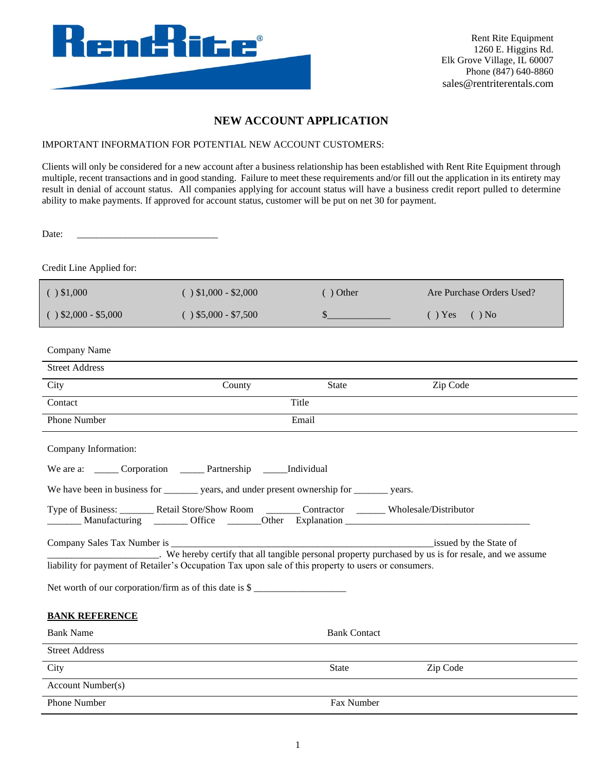

Rent Rite Equipment 1260 E. Higgins Rd. Elk Grove Village, IL 60007 Phone (847) 640-8860 sales@rentriterentals.com

## **NEW ACCOUNT APPLICATION**

## IMPORTANT INFORMATION FOR POTENTIAL NEW ACCOUNT CUSTOMERS:

Clients will only be considered for a new account after a business relationship has been established with Rent Rite Equipment through multiple, recent transactions and in good standing. Failure to meet these requirements and/or fill out the application in its entirety may result in denial of account status. All companies applying for account status will have a business credit report pulled to determine ability to make payments. If approved for account status, customer will be put on net 30 for payment.

Date:

Credit Line Applied for:

| ( ) \$1,000                                                                                                                                                                                                | $( ) $1,000 - $2,000$                                                                                   | $()$ Other          | Are Purchase Orders Used? |  |  |
|------------------------------------------------------------------------------------------------------------------------------------------------------------------------------------------------------------|---------------------------------------------------------------------------------------------------------|---------------------|---------------------------|--|--|
| $( )$ \$2,000 - \$5,000                                                                                                                                                                                    | $( )$ \$5,000 - \$7,500                                                                                 | s                   | $( )$ Yes<br>$( )$ No     |  |  |
|                                                                                                                                                                                                            |                                                                                                         |                     |                           |  |  |
| Company Name                                                                                                                                                                                               |                                                                                                         |                     |                           |  |  |
| <b>Street Address</b>                                                                                                                                                                                      |                                                                                                         |                     |                           |  |  |
| City                                                                                                                                                                                                       | County                                                                                                  | State               | Zip Code                  |  |  |
| Contact                                                                                                                                                                                                    |                                                                                                         | Title               |                           |  |  |
| Phone Number                                                                                                                                                                                               |                                                                                                         | Email               |                           |  |  |
| Company Information:                                                                                                                                                                                       |                                                                                                         |                     |                           |  |  |
| We are a: _______ Corporation ________ Partnership _______ Individual                                                                                                                                      |                                                                                                         |                     |                           |  |  |
| We have been in business for __________ years, and under present ownership for _________ years.                                                                                                            |                                                                                                         |                     |                           |  |  |
|                                                                                                                                                                                                            | Type of Business: __________ Retail Store/Show Room _________ Contractor ________ Wholesale/Distributor |                     |                           |  |  |
| We hereby certify that all tangible personal property purchased by us is for resale, and we assume<br>liability for payment of Retailer's Occupation Tax upon sale of this property to users or consumers. |                                                                                                         |                     |                           |  |  |
| Net worth of our corporation/firm as of this date is $\frac{1}{2}$                                                                                                                                         |                                                                                                         |                     |                           |  |  |
| <b>BANK REFERENCE</b>                                                                                                                                                                                      |                                                                                                         |                     |                           |  |  |
| <b>Bank Name</b>                                                                                                                                                                                           |                                                                                                         | <b>Bank Contact</b> |                           |  |  |
| <b>Street Address</b>                                                                                                                                                                                      |                                                                                                         |                     |                           |  |  |
| City                                                                                                                                                                                                       |                                                                                                         | State               | Zip Code                  |  |  |
| <b>Account Number(s)</b>                                                                                                                                                                                   |                                                                                                         |                     |                           |  |  |
| Phone Number                                                                                                                                                                                               |                                                                                                         | Fax Number          |                           |  |  |